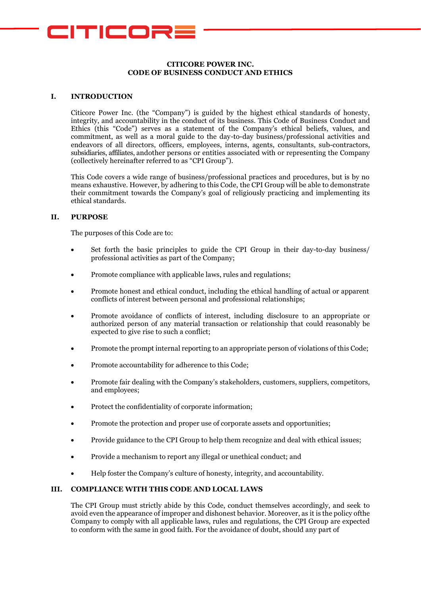

## **CITICORE POWER INC. CODE OF BUSINESS CONDUCT AND ETHICS**

## **I. INTRODUCTION**

Citicore Power Inc. (the "Company") is guided by the highest ethical standards of honesty, integrity, and accountability in the conduct of its business. This Code of Business Conduct and Ethics (this "Code") serves as a statement of the Company's ethical beliefs, values, and commitment, as well as a moral guide to the day-to-day business/professional activities and endeavors of all directors, officers, employees, interns, agents, consultants, sub-contractors, subsidiaries, affiliates, andother persons or entities associated with or representing the Company (collectively hereinafter referred to as "CPI Group").

This Code covers a wide range of business/professional practices and procedures, but is by no means exhaustive. However, by adhering to this Code, the CPI Group will be able to demonstrate their commitment towards the Company's goal of religiously practicing and implementing its ethical standards.

## **II. PURPOSE**

The purposes of this Code are to:

- Set forth the basic principles to guide the CPI Group in their day-to-day business/ professional activities as part of the Company;
- Promote compliance with applicable laws, rules and regulations;
- Promote honest and ethical conduct, including the ethical handling of actual or apparent conflicts of interest between personal and professional relationships;
- Promote avoidance of conflicts of interest, including disclosure to an appropriate or authorized person of any material transaction or relationship that could reasonably be expected to give rise to such a conflict;
- Promote the prompt internal reporting to an appropriate person of violations of this Code;
- Promote accountability for adherence to this Code;
- Promote fair dealing with the Company's stakeholders, customers, suppliers, competitors, and employees;
- Protect the confidentiality of corporate information;
- Promote the protection and proper use of corporate assets and opportunities;
- Provide guidance to the CPI Group to help them recognize and deal with ethical issues;
- Provide a mechanism to report any illegal or unethical conduct; and
- Help foster the Company's culture of honesty, integrity, and accountability.

## **III. COMPLIANCE WITH THIS CODE AND LOCAL LAWS**

The CPI Group must strictly abide by this Code, conduct themselves accordingly, and seek to avoid even the appearance of improper and dishonest behavior. Moreover, as it is the policy ofthe Company to comply with all applicable laws, rules and regulations, the CPI Group are expected to conform with the same in good faith. For the avoidance of doubt, should any part of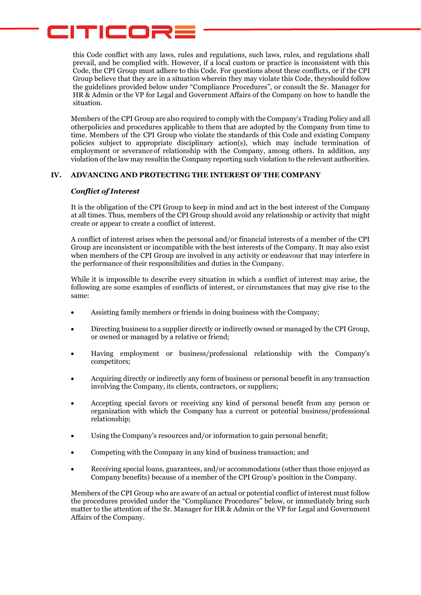## CITICORE

this Code conflict with any laws, rules and regulations, such laws, rules, and regulations shall prevail, and be complied with. However, if a local custom or practice is inconsistent with this Code, the CPI Group must adhere to this Code. For questions about these conflicts, or if the CPI Group believe that they are in a situation wherein they may violate this Code, theyshould follow the guidelines provided below under "Compliance Procedures", or consult the Sr. Manager for HR & Admin or the VP for Legal and Government Affairs of the Company on how to handle the situation.

Members of the CPI Group are also required to comply with the Company's Trading Policy and all otherpolicies and procedures applicable to them that are adopted by the Company from time to time. Members of the CPI Group who violate the standards of this Code and existing Company policies subject to appropriate disciplinary action(s), which may include termination of employment or severanceof relationship with the Company, among others. In addition, any violation of the law may resultin the Company reporting such violation to the relevant authorities.

## **IV. ADVANCING AND PROTECTING THE INTEREST OF THE COMPANY**

## *Conflict of Interest*

It is the obligation of the CPI Group to keep in mind and act in the best interest of the Company at all times. Thus, members of the CPI Group should avoid any relationship or activity that might create or appear to create a conflict of interest.

A conflict of interest arises when the personal and/or financial interests of a member of the CPI Group are inconsistent or incompatible with the best interests of the Company. It may also exist when members of the CPI Group are involved in any activity or endeavour that may interfere in the performance of their responsibilities and duties in the Company.

While it is impossible to describe every situation in which a conflict of interest may arise, the following are some examples of conflicts of interest, or circumstances that may give rise to the same:

- Assisting family members or friends in doing business with the Company;
- Directing business to a supplier directly or indirectly owned or managed by the CPI Group, or owned or managed by a relative or friend;
- Having employment or business/professional relationship with the Company's competitors;
- Acquiring directly or indirectly any form of business or personal benefit in any transaction involving the Company, its clients, contractors, or suppliers;
- Accepting special favors or receiving any kind of personal benefit from any person or organization with which the Company has a current or potential business/professional relationship;
- Using the Company's resources and/or information to gain personal benefit;
- Competing with the Company in any kind of business transaction; and
- Receiving special loans, guarantees, and/or accommodations (other than those enjoyed as Company benefits) because of a member of the CPI Group's position in the Company.

Members of the CPI Group who are aware of an actual or potential conflict of interest must follow the procedures provided under the "Compliance Procedures" below, or immediately bring such matter to the attention of the Sr. Manager for HR & Admin or the VP for Legal and Government Affairs of the Company.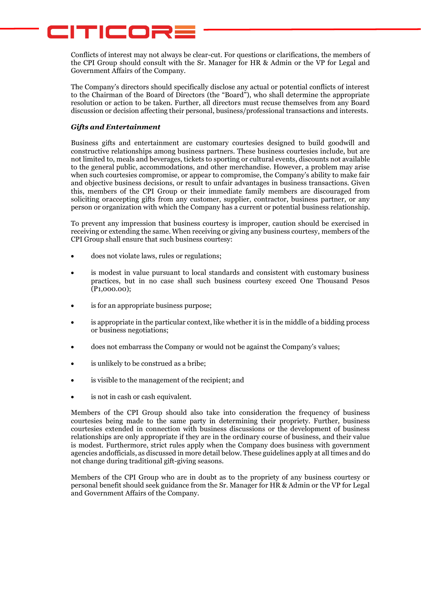# CITICORE

Conflicts of interest may not always be clear-cut. For questions or clarifications, the members of the CPI Group should consult with the Sr. Manager for HR & Admin or the VP for Legal and Government Affairs of the Company.

The Company's directors should specifically disclose any actual or potential conflicts of interest to the Chairman of the Board of Directors (the "Board"), who shall determine the appropriate resolution or action to be taken. Further, all directors must recuse themselves from any Board discussion or decision affecting their personal, business/professional transactions and interests.

## *Gifts and Entertainment*

Business gifts and entertainment are customary courtesies designed to build goodwill and constructive relationships among business partners. These business courtesies include, but are not limited to, meals and beverages, tickets to sporting or cultural events, discounts not available to the general public, accommodations, and other merchandise. However, a problem may arise when such courtesies compromise, or appear to compromise, the Company's ability to make fair and objective business decisions, or result to unfair advantages in business transactions. Given this, members of the CPI Group or their immediate family members are discouraged from soliciting oraccepting gifts from any customer, supplier, contractor, business partner, or any person or organization with which the Company has a current or potential business relationship.

To prevent any impression that business courtesy is improper, caution should be exercised in receiving or extending the same. When receiving or giving any business courtesy, members of the CPI Group shall ensure that such business courtesy:

- does not violate laws, rules or regulations;
- is modest in value pursuant to local standards and consistent with customary business practices, but in no case shall such business courtesy exceed One Thousand Pesos (P1,000.00);
- is for an appropriate business purpose;
- is appropriate in the particular context, like whether it is in the middle of a bidding process or business negotiations;
- does not embarrass the Company or would not be against the Company's values;
- is unlikely to be construed as a bribe;
- is visible to the management of the recipient; and
- is not in cash or cash equivalent.

Members of the CPI Group should also take into consideration the frequency of business courtesies being made to the same party in determining their propriety. Further, business courtesies extended in connection with business discussions or the development of business relationships are only appropriate if they are in the ordinary course of business, and their value is modest. Furthermore, strict rules apply when the Company does business with government agencies andofficials, as discussed in more detail below. These guidelines apply at all times and do not change during traditional gift-giving seasons.

Members of the CPI Group who are in doubt as to the propriety of any business courtesy or personal benefit should seek guidance from the Sr. Manager for HR & Admin or the VP for Legal and Government Affairs of the Company.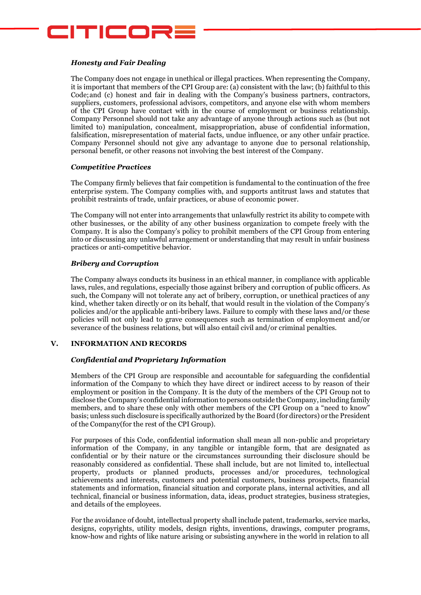

#### *Honesty and Fair Dealing*

The Company does not engage in unethical or illegal practices. When representing the Company, it is important that members of the CPI Group are: (a) consistent with the law; (b) faithful to this Code;and (c) honest and fair in dealing with the Company's business partners, contractors, suppliers, customers, professional advisors, competitors, and anyone else with whom members of the CPI Group have contact with in the course of employment or business relationship. Company Personnel should not take any advantage of anyone through actions such as (but not limited to) manipulation, concealment, misappropriation, abuse of confidential information, falsification, misrepresentation of material facts, undue influence, or any other unfair practice. Company Personnel should not give any advantage to anyone due to personal relationship, personal benefit, or other reasons not involving the best interest of the Company.

#### *Competitive Practices*

The Company firmly believes that fair competition is fundamental to the continuation of the free enterprise system. The Company complies with, and supports antitrust laws and statutes that prohibit restraints of trade, unfair practices, or abuse of economic power.

The Company will not enter into arrangements that unlawfully restrict its ability to compete with other businesses, or the ability of any other business organization to compete freely with the Company. It is also the Company's policy to prohibit members of the CPI Group from entering into or discussing any unlawful arrangement or understanding that may result in unfair business practices or anti-competitive behavior.

#### *Bribery and Corruption*

The Company always conducts its business in an ethical manner, in compliance with applicable laws, rules, and regulations, especially those against bribery and corruption of public officers. As such, the Company will not tolerate any act of bribery, corruption, or unethical practices of any kind, whether taken directly or on its behalf, that would result in the violation of the Company's policies and/or the applicable anti-bribery laws. Failure to comply with these laws and/or these policies will not only lead to grave consequences such as termination of employment and/or severance of the business relations, but will also entail civil and/or criminal penalties.

#### **V. INFORMATION AND RECORDS**

#### *Confidential and Proprietary Information*

Members of the CPI Group are responsible and accountable for safeguarding the confidential information of the Company to which they have direct or indirect access to by reason of their employment or position in the Company. It is the duty of the members of the CPI Group not to disclose the Company's confidential information to persons outside theCompany,including family members, and to share these only with other members of the CPI Group on a "need to know" basis; unless such disclosure is specifically authorized by the Board (for directors) or the President of the Company(for the rest of the CPI Group).

For purposes of this Code, confidential information shall mean all non-public and proprietary information of the Company, in any tangible or intangible form, that are designated as confidential or by their nature or the circumstances surrounding their disclosure should be reasonably considered as confidential. These shall include, but are not limited to, intellectual property, products or planned products, processes and/or procedures, technological achievements and interests, customers and potential customers, business prospects, financial statements and information, financial situation and corporate plans, internal activities, and all technical, financial or business information, data, ideas, product strategies, business strategies, and details of the employees.

For the avoidance of doubt, intellectual property shall include patent, trademarks, service marks, designs, copyrights, utility models, design rights, inventions, drawings, computer programs, know-how and rights of like nature arising or subsisting anywhere in the world in relation to all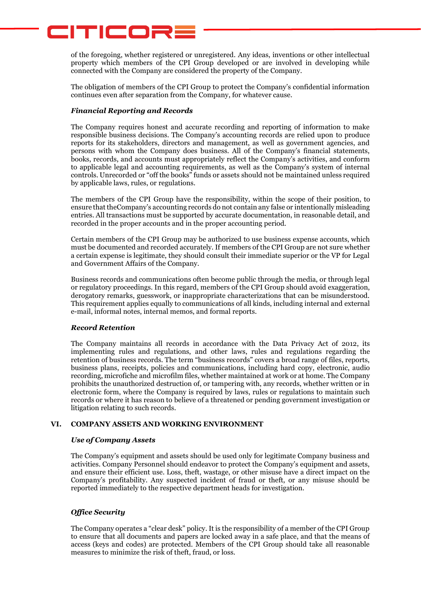# CITICORE

of the foregoing, whether registered or unregistered. Any ideas, inventions or other intellectual property which members of the CPI Group developed or are involved in developing while connected with the Company are considered the property of the Company.

The obligation of members of the CPI Group to protect the Company's confidential information continues even after separation from the Company, for whatever cause.

## *Financial Reporting and Records*

The Company requires honest and accurate recording and reporting of information to make responsible business decisions. The Company's accounting records are relied upon to produce reports for its stakeholders, directors and management, as well as government agencies, and persons with whom the Company does business. All of the Company's financial statements, books, records, and accounts must appropriately reflect the Company's activities, and conform to applicable legal and accounting requirements, as well as the Company's system of internal controls. Unrecorded or "off the books" funds or assets should not be maintained unless required by applicable laws, rules, or regulations.

The members of the CPI Group have the responsibility, within the scope of their position, to ensure that theCompany's accounting records do not contain any false or intentionally misleading entries. All transactions must be supported by accurate documentation, in reasonable detail, and recorded in the proper accounts and in the proper accounting period.

Certain members of the CPI Group may be authorized to use business expense accounts, which must be documented and recorded accurately. If members of the CPI Group are not sure whether a certain expense is legitimate, they should consult their immediate superior or the VP for Legal and Government Affairs of the Company.

Business records and communications often become public through the media, or through legal or regulatory proceedings. In this regard, members of the CPI Group should avoid exaggeration, derogatory remarks, guesswork, or inappropriate characterizations that can be misunderstood. This requirement applies equally to communications of all kinds, including internal and external e-mail, informal notes, internal memos, and formal reports.

## *Record Retention*

The Company maintains all records in accordance with the Data Privacy Act of 2012, its implementing rules and regulations, and other laws, rules and regulations regarding the retention of business records. The term "business records" covers a broad range of files, reports, business plans, receipts, policies and communications, including hard copy, electronic, audio recording, microfiche and microfilm files, whether maintained at work or at home. The Company prohibits the unauthorized destruction of, or tampering with, any records, whether written or in electronic form, where the Company is required by laws, rules or regulations to maintain such records or where it has reason to believe of a threatened or pending government investigation or litigation relating to such records.

## **VI. COMPANY ASSETS AND WORKING ENVIRONMENT**

## *Use of Company Assets*

The Company's equipment and assets should be used only for legitimate Company business and activities. Company Personnel should endeavor to protect the Company's equipment and assets, and ensure their efficient use. Loss, theft, wastage, or other misuse have a direct impact on the Company's profitability. Any suspected incident of fraud or theft, or any misuse should be reported immediately to the respective department heads for investigation.

## *Office Security*

The Company operates a "clear desk" policy. It is the responsibility of a member of the CPI Group to ensure that all documents and papers are locked away in a safe place, and that the means of access (keys and codes) are protected. Members of the CPI Group should take all reasonable measures to minimize the risk of theft, fraud, or loss.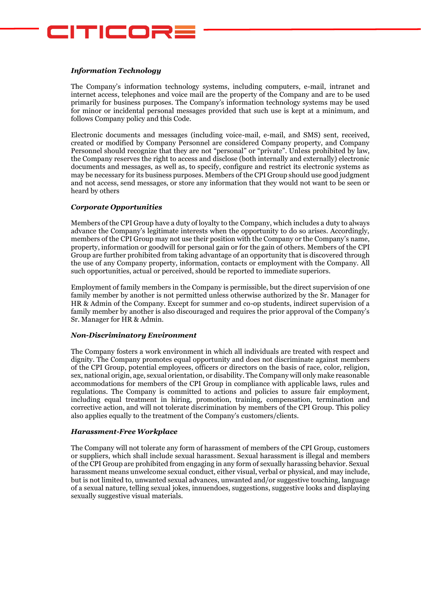

## *Information Technology*

The Company's information technology systems, including computers, e-mail, intranet and internet access, telephones and voice mail are the property of the Company and are to be used primarily for business purposes. The Company's information technology systems may be used for minor or incidental personal messages provided that such use is kept at a minimum, and follows Company policy and this Code.

Electronic documents and messages (including voice-mail, e-mail, and SMS) sent, received, created or modified by Company Personnel are considered Company property, and Company Personnel should recognize that they are not "personal" or "private". Unless prohibited by law, the Company reserves the right to access and disclose (both internally and externally) electronic documents and messages, as well as, to specify, configure and restrict its electronic systems as may be necessary for its business purposes. Members of the CPI Group should use good judgment and not access, send messages, or store any information that they would not want to be seen or heard by others

## *Corporate Opportunities*

Members of the CPI Group have a duty of loyalty to the Company, which includes a duty to always advance the Company's legitimate interests when the opportunity to do so arises. Accordingly, members of the CPI Group may not use their position with the Company or the Company's name, property, information or goodwill for personal gain or for the gain of others. Members of the CPI Group are further prohibited from taking advantage of an opportunity that is discovered through the use of any Company property, information, contacts or employment with the Company. All such opportunities, actual or perceived, should be reported to immediate superiors.

Employment of family members in the Company is permissible, but the direct supervision of one family member by another is not permitted unless otherwise authorized by the Sr. Manager for HR & Admin of the Company. Except for summer and co-op students, indirect supervision of a family member by another is also discouraged and requires the prior approval of the Company's Sr. Manager for HR & Admin.

#### *Non-Discriminatory Environment*

The Company fosters a work environment in which all individuals are treated with respect and dignity. The Company promotes equal opportunity and does not discriminate against members of the CPI Group, potential employees, officers or directors on the basis of race, color, religion, sex, national origin, age, sexual orientation, or disability. The Company will only make reasonable accommodations for members of the CPI Group in compliance with applicable laws, rules and regulations. The Company is committed to actions and policies to assure fair employment, including equal treatment in hiring, promotion, training, compensation, termination and corrective action, and will not tolerate discrimination by members of the CPI Group. This policy also applies equally to the treatment of the Company's customers/clients.

#### *Harassment-Free Workplace*

The Company will not tolerate any form of harassment of members of the CPI Group, customers or suppliers, which shall include sexual harassment. Sexual harassment is illegal and members of the CPI Group are prohibited from engaging in any form of sexually harassing behavior. Sexual harassment means unwelcome sexual conduct, either visual, verbal or physical, and may include, but is not limited to, unwanted sexual advances, unwanted and/or suggestive touching, language of a sexual nature, telling sexual jokes, innuendoes, suggestions, suggestive looks and displaying sexually suggestive visual materials.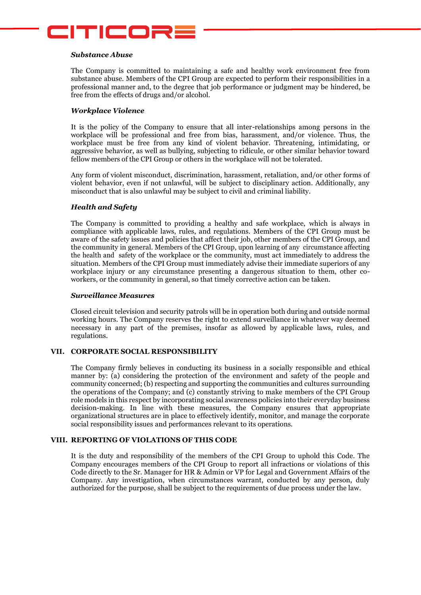

#### *Substance Abuse*

The Company is committed to maintaining a safe and healthy work environment free from substance abuse. Members of the CPI Group are expected to perform their responsibilities in a professional manner and, to the degree that job performance or judgment may be hindered, be free from the effects of drugs and/or alcohol.

#### *Workplace Violence*

It is the policy of the Company to ensure that all inter-relationships among persons in the workplace will be professional and free from bias, harassment, and/or violence. Thus, the workplace must be free from any kind of violent behavior. Threatening, intimidating, or aggressive behavior, as well as bullying, subjecting to ridicule, or other similar behavior toward fellow members of the CPI Group or others in the workplace will not be tolerated.

Any form of violent misconduct, discrimination, harassment, retaliation, and/or other forms of violent behavior, even if not unlawful, will be subject to disciplinary action. Additionally, any misconduct that is also unlawful may be subject to civil and criminal liability.

## *Health and Safety*

The Company is committed to providing a healthy and safe workplace, which is always in compliance with applicable laws, rules, and regulations. Members of the CPI Group must be aware of the safety issues and policies that affect their job, other members of the CPI Group, and the community in general. Members of the CPI Group, upon learning of any circumstance affecting the health and safety of the workplace or the community, must act immediately to address the situation. Members of the CPI Group must immediately advise their immediate superiors of any workplace injury or any circumstance presenting a dangerous situation to them, other coworkers, or the community in general, so that timely corrective action can be taken.

#### *Surveillance Measures*

Closed circuit television and security patrols will be in operation both during and outside normal working hours. The Company reserves the right to extend surveillance in whatever way deemed necessary in any part of the premises, insofar as allowed by applicable laws, rules, and regulations.

#### **VII. CORPORATE SOCIAL RESPONSIBILITY**

The Company firmly believes in conducting its business in a socially responsible and ethical manner by: (a) considering the protection of the environment and safety of the people and community concerned; (b) respecting and supporting the communities and cultures surrounding the operations of the Company; and (c) constantly striving to make members of the CPI Group role models in this respect by incorporating social awareness policies into their everyday business decision-making. In line with these measures, the Company ensures that appropriate organizational structures are in place to effectively identify, monitor, and manage the corporate social responsibility issues and performances relevant to its operations.

#### **VIII. REPORTING OF VIOLATIONS OF THIS CODE**

It is the duty and responsibility of the members of the CPI Group to uphold this Code. The Company encourages members of the CPI Group to report all infractions or violations of this Code directly to the Sr. Manager for HR & Admin or VP for Legal and Government Affairs of the Company. Any investigation, when circumstances warrant, conducted by any person, duly authorized for the purpose, shall be subject to the requirements of due process under the law.